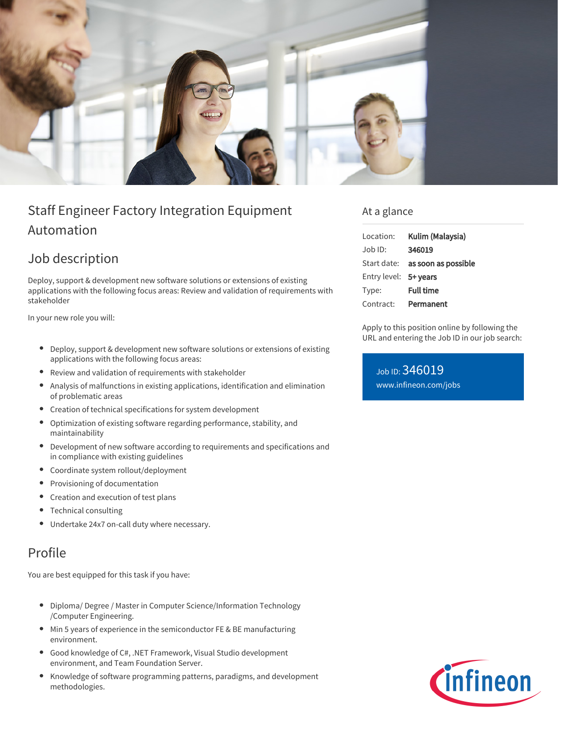

# Staff Engineer Factory Integration Equipment Automation

## Job description

Deploy, support & development new software solutions or extensions of existing applications with the following focus areas: Review and validation of requirements with stakeholder

In your new role you will:

- Deploy, support & development new software solutions or extensions of existing applications with the following focus areas:
- Review and validation of requirements with stakeholder
- Analysis of malfunctions in existing applications, identification and elimination of problematic areas
- Creation of technical specifications for system development
- $\bullet$ Optimization of existing software regarding performance, stability, and maintainability
- Development of new software according to requirements and specifications and in compliance with existing guidelines
- Coordinate system rollout/deployment
- Provisioning of documentation
- Creation and execution of test plans  $\bullet$
- Technical consulting  $\bullet$
- Undertake 24x7 on-call duty where necessary.

### Profile

You are best equipped for this task if you have:

- Diploma/ Degree / Master in Computer Science/Information Technology /Computer Engineering.
- Min 5 years of experience in the semiconductor FE & BE manufacturing  $\bullet$ environment.
- Good knowledge of C#, .NET Framework, Visual Studio development environment, and Team Foundation Server.
- Knowledge of software programming patterns, paradigms, and development methodologies.

#### At a glance

| Location:             | Kulim (Malaysia)                       |
|-----------------------|----------------------------------------|
| Job ID:               | 346019                                 |
|                       | Start date: <b>as soon as possible</b> |
| Entry level: 5+ years |                                        |
| Type:                 | <b>Full time</b>                       |
| Contract:             | Permanent                              |

Apply to this position online by following the URL and entering the Job ID in our job search:

Job ID: 346019 [www.infineon.com/jobs](https://www.infineon.com/jobs)